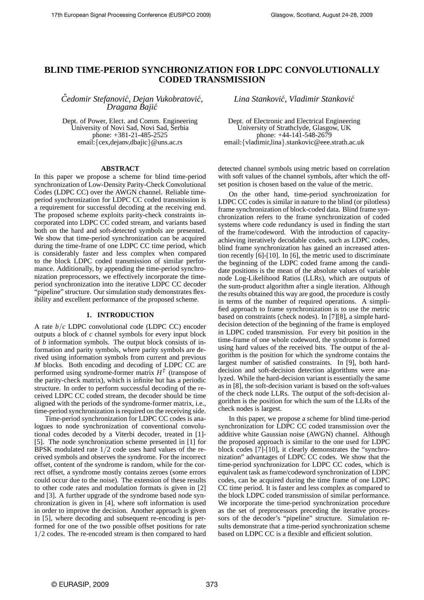# **BLIND TIME-PERIOD SYNCHRONIZATION FOR LDPC CONVOLUTIONALLY CODED TRANSMISSION**

 $\dot{c}$ edomir Stefanović, Dejan Vukobratović, *Dragana Bajic´*

Dept. of Power, Elect. and Comm. Engineering University of Novi Sad, Novi Sad, Serbia phone: +381-21-485-2525 email:{cex,dejanv,dbajic}@uns.ac.rs

# **ABSTRACT**

In this paper we propose a scheme for blind time-period synchronization of Low-Density Parity-Check Convolutional Codes (LDPC CC) over the AWGN channel. Reliable timeperiod synchronization for LDPC CC coded transmission is a requirement for successful decoding at the receiving end. The proposed scheme exploits parity-check constraints incorporated into LDPC CC coded stream, and variants based both on the hard and soft-detected symbols are presented. We show that time-period synchronization can be acquired during the time-frame of one LDPC CC time period, which is considerably faster and less complex when compared to the block LDPC coded transmission of similar performance. Additionally, by appending the time-period synchronization preprocessors, we effectively incorporate the timeperiod synchronization into the iterative LDPC CC decoder "pipeline" structure. Our simulation study demonstrates flexibility and excellent performance of the proposed scheme.

#### **1. INTRODUCTION**

A rate *b*/*c* LDPC convolutional code (LDPC CC) encoder outputs a block of *c* channel symbols for every input block of *b* information symbols. The output block consists of information and parity symbols, where parity symbols are derived using information symbols from current and previous *M* blocks. Both encoding and decoding of LDPC CC are performed using syndrome-former matrix  $H<sup>T</sup>$  (transpose of the parity-check matrix), which is infinite but has a periodic structure. In order to perform successful decoding of the received LDPC CC coded stream, the decoder should be time aligned with the periods of the syndrome-former matrix, i.e., time-period synchronization is required on the receiving side.

Time-period synchronization for LDPC CC codes is analogues to node synchronization of conventional convolutional codes decoded by a Viterbi decoder, treated in [1]- [5]. The node synchronization scheme presented in [1] for BPSK modulated rate 1/2 code uses hard values of the received symbols and observes the syndrome. For the incorrect offset, content of the syndrome is random, while for the correct offset, a syndrome mostly contains zeroes (some errors could occur due to the noise). The extension of these results to other code rates and modulation formats is given in [2] and [3]. A further upgrade of the syndrome based node synchronization is given in [4], where soft information is used in order to improve the decision. Another approach is given in [5], where decoding and subsequent re-encoding is performed for one of the two possible offset positions for rate 1/2 codes. The re-encoded stream is then compared to hard *Lina Stankovic, Vladimir Stankovi ´ c´*

Dept. of Electronic and Electrical Engineering University of Strathclyde, Glasgow, UK phone: +44-141-548-2679 email:{vladimir,lina}.stankovic@eee.strath.ac.uk

detected channel symbols using metric based on correlation with soft values of the channel symbols, after which the offset position is chosen based on the value of the metric.

On the other hand, time-period synchronization for LDPC CC codes is similar in nature to the blind (or pilotless) frame synchronization of block-coded data. Blind frame synchronization refers to the frame synchronization of coded systems where code redundancy is used in finding the start of the frame/codeword. With the introduction of capacityachieving iteratively decodable codes, such as LDPC codes, blind frame synchronization has gained an increased attention recently [6]-[10]. In [6], the metric used to discriminate the beginning of the LDPC coded frame among the candidate positions is the mean of the absolute values of variable node Log-Likelihood Ratios (LLRs), which are outputs of the sum-product algorithm after a single iteration. Although the results obtained this way are good, the procedure is costly in terms of the number of required operations. A simplified approach to frame synchronization is to use the metric based on constraints (check nodes). In [7][8], a simple harddecision detection of the beginning of the frame is employed in LDPC coded transmission. For every bit position in the time-frame of one whole codeword, the syndrome is formed using hard values of the received bits. The output of the algorithm is the position for which the syndrome contains the largest number of satisfied constraints. In [9], both harddecision and soft-decision detection algorithms were analyzed. While the hard-decision variant is essentially the same as in [8], the soft-decision variant is based on the soft-values of the check node LLRs. The output of the soft-decision algorithm is the position for which the sum of the LLRs of the check nodes is largest.

In this paper, we propose a scheme for blind time-period synchronization for LDPC CC coded transmission over the additive white Gaussian noise (AWGN) channel. Although the proposed approach is similar to the one used for LDPC block codes [7]-[10], it clearly demonstrates the "synchronization" advantages of LDPC CC codes. We show that the time-period synchronization for LDPC CC codes, which is equivalent task as frame/codeword synchronization of LDPC codes, can be acquired during the time frame of one LDPC CC time period. It is faster and less complex as compared to the block LDPC coded transmission of similar performance. We incorporate the time-period synchronization procedure as the set of preprocessors preceding the iterative processors of the decoder's "pipeline" structure. Simulation results demonstrate that a time-period synchronization scheme based on LDPC CC is a flexible and efficient solution.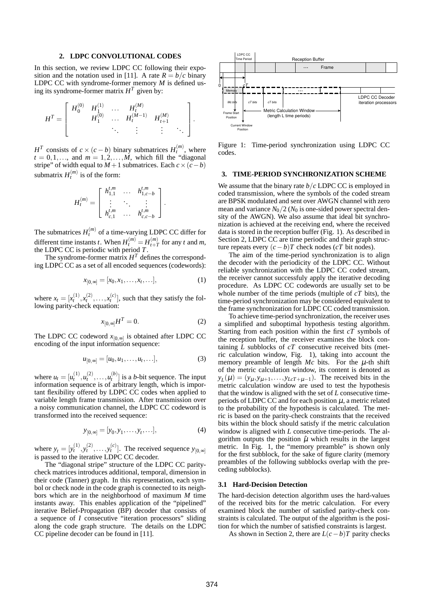## **2. LDPC CONVOLUTIONAL CODES**

In this section, we review LDPC CC following their exposition and the notation used in [11]. A rate  $R = b/c$  binary LDPC CC with syndrome-former memory *M* is defined using its syndrome-former matrix  $H<sup>T</sup>$  given by:

$$
H^{T} = \left[ \begin{array}{cccc} H_0^{(0)} & H_1^{(1)} & \dots & H_t^{(M)} \\ & H_1^{(0)} & \dots & H_t^{(M-1)} & H_{t+1}^{(M)} \\ & & \ddots & \vdots & \vdots & \ddots \end{array} \right].
$$

*H*<sup>*T*</sup> consists of *c* × (*c* − *b*) binary submatrices  $H_t^{(m)}$ , where  $t = 0, 1, \ldots$ , and  $m = 1, 2, \ldots, M$ , which fill the "diagonal" stripe" of width equal to  $M+1$  submatrices. Each  $c \times (c - b)$ submatrix  $H_t^{(m)}$  is of the form:

$$
H_t^{(m)} = \begin{bmatrix} h_{1,1}^{t,m} & \dots & h_{1,c-b}^{t,m} \\ \vdots & \ddots & \vdots \\ h_{c,1}^{t,m} & \dots & h_{c,c-b}^{t,m} \end{bmatrix}.
$$

The submatrices  $H_t^{(m)}$  of a time-varying LDPC CC differ for different time instants *t*. When  $H_t^{(m)} = H_{t+1}^{(m)}$  $t^{(m)}_{t+T}$  for any *t* and *m*, the LDPC CC is periodic with period *T*.

The syndrome-former matrix  $H<sup>T</sup>$  defines the corresponding LDPC CC as a set of all encoded sequences (codewords):

$$
x_{[0,\infty]} = [x_0, x_1, \dots, x_t, \dots],
$$
 (1)

where  $x_t = [x_t^{(1)}, x_t^{(2)}, \dots, x_t^{(c)}]$ , such that they satisfy the following parity-check equation:

$$
x_{[0,\infty]}H^T=0.\t\t(2)
$$

The LDPC CC codeword  $x_{[0,\infty]}$  is obtained after LDPC CC encoding of the input information sequence:

$$
u_{[0,\infty]} = [u_0, u_1, \dots, u_t, \dots],
$$
 (3)

where  $u_t = [u_t^{(1)}, u_t^{(2)}, \dots, u_t^{(b)}]$  is a *b*-bit sequence. The input information sequence is of arbitrary length, which is important flexibility offered by LDPC CC codes when applied to variable length frame transmission. After transmission over a noisy communication channel, the LDPC CC codeword is transformed into the received sequence:

$$
y_{[0,\infty]} = [y_0, y_1, \dots, y_t, \dots],
$$
 (4)

where  $y_t = [y_t^{(1)}, y_t^{(2)}, \dots, y_t^{(c)}]$ . The received sequence  $y_{[0,\infty]}$ is passed to the iterative LDPC CC decoder.

The "diagonal stripe" structure of the LDPC CC paritycheck matrices introduces additional, temporal, dimension in their code (Tanner) graph. In this representation, each symbol or check node in the code graph is connected to its neighbors which are in the neighborhood of maximum *M* time instants away. This enables application of the "pipelined" iterative Belief-Propagation (BP) decoder that consists of a sequence of *I* consecutive "iteration processors" sliding along the code graph structure. The details on the LDPC CC pipeline decoder can be found in [11].



Figure 1: Time-period synchronization using LDPC CC codes.

### **3. TIME-PERIOD SYNCHRONIZATION SCHEME**

We assume that the binary rate *b*/*c* LDPC CC is employed in coded transmission, where the symbols of the coded stream are BPSK modulated and sent over AWGN channel with zero mean and variance  $N_0/2$  ( $N_0$  is one-sided power spectral density of the AWGN). We also assume that ideal bit synchronization is achieved at the receiving end, where the received data is stored in the reception buffer (Fig. 1). As described in Section 2, LDPC CC are time periodic and their graph structure repeats every  $(c - b)T$  check nodes (*cT* bit nodes).

The aim of the time-period synchronization is to align the decoder with the periodicity of the LDPC CC. Without reliable synchronization with the LDPC CC coded stream, the receiver cannot successfuly apply the iterative decoding procedure. As LDPC CC codewords are usually set to be whole number of the time periods (multiple of *cT* bits), the time-period synchronization may be considered equivalent to the frame synchronization for LDPC CC coded transmission.

To achieve time-period synchronization, the receiver uses a simplified and suboptimal hypothesis testing algorithm. Starting from each position within the first *cT* symbols of the reception buffer, the receiver examines the block containing *L* subblocks of *cT* consecutive received bits (metric calculation window, Fig. 1), taking into account the memory preamble of length  $Mc$  bits. For the  $\mu$ -th shift of the metric calculation window, its content is denoted as  $y_L(\mu) = (y_\mu, y_{\mu+1}, \dots, y_{LcT+\mu-1})$ . The received bits in the metric calculation window are used to test the hypothesis that the window is aligned with the set of *L* consecutive timeperiods of LDPC CC and for each position  $\mu$ , a metric related to the probability of the hypothesis is calculated. The metric is based on the parity-check constraints that the received bits within the block should satisfy if the metric calculation window is aligned with *L* consecutive time-periods. The algorithm outputs the position  $\hat{\mu}$  which results in the largest metric. In Fig. 1, the "memory preamble" is shown only for the first subblock, for the sake of figure clarity (memory preambles of the following subblocks overlap with the preceding subblocks).

### **3.1 Hard-Decision Detection**

The hard-decision detection algorithm uses the hard-values of the received bits for the metric calculation. For every examined block the number of satisfied parity-check constraints is calculated. The output of the algorithm is the position for which the number of satisfied constraints is largest.

As shown in Section 2, there are  $L(c - b)T$  parity checks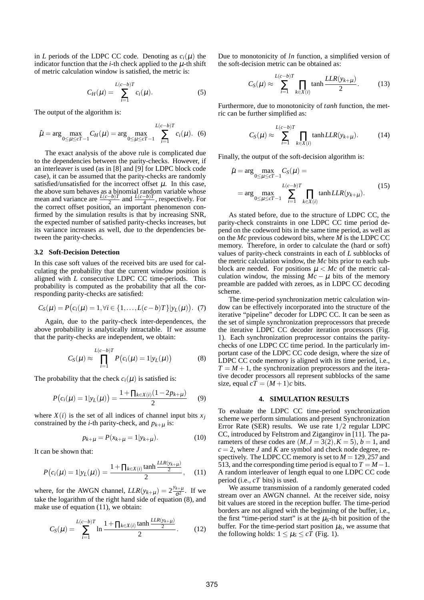in *L* periods of the LDPC CC code. Denoting as  $c_i(\mu)$  the indicator function that the  $i$ -th check applied to the  $\mu$ -th shift of metric calculation window is satisfied, the metric is:

$$
C_H(\mu) = \sum_{i=1}^{L(c-b)T} c_i(\mu).
$$
 (5)

The output of the algorithm is:

$$
\hat{\mu} = \arg \max_{0 \le \mu \le cT-1} C_H(\mu) = \arg \max_{0 \le \mu \le cT-1} \sum_{i=1}^{L(c-b)T} c_i(\mu). \tag{6}
$$

The exact analysis of the above rule is complicated due to the dependencies between the parity-checks. However, if an interleaver is used (as in [8] and [9] for LDPC block code case), it can be assumed that the parity-checks are randomly satisfied/unsatisfied for the incorrect offset  $\mu$ . In this case, the above sum behaves as a binomial random variable whose mean and variance are  $\frac{L(c-b)T}{2}$  and  $\frac{L(c-b)T}{4}$ , respectively. For the correct offset position, an important phenomenon confirmed by the simulation results is that by increasing SNR, the expected number of satisfied parity-checks increases, but its variance increases as well, due to the dependencies between the parity-checks.

# **3.2 Soft-Decision Detection**

In this case soft values of the received bits are used for calculating the probability that the current window position is aligned with *L* consecutive LDPC CC time-periods. This probability is computed as the probability that all the corresponding parity-checks are satisfied:

$$
C_S(\mu) = P(c_i(\mu) = 1, \forall i \in \{1, ..., L(c - b)T\}|y_L(\mu)). \tag{7}
$$

Again, due to the parity-check inter-dependences, the above probability is analytically intractable. If we assume that the parity-checks are independent, we obtain:

$$
C_{S}(\mu) \approx \prod_{i=1}^{L(c-b)T} P(c_{i}(\mu)) = 1|y_{L}(\mu))
$$
 (8)

The probability that the check  $c_i(\mu)$  is satisfied is:

$$
P(c_i(\mu) = 1 | y_L(\mu)) = \frac{1 + \prod_{k \in X(i)} (1 - 2p_{k+\mu})}{2}
$$
 (9)

where  $X(i)$  is the set of all indices of channel input bits  $x_j$ constrained by the *i*-th parity-check, and  $p_{k+\mu}$  is:

$$
p_{k+\mu} = P(x_{k+\mu} = 1 | y_{k+\mu}). \tag{10}
$$

It can be shown that:

$$
P(c_i(\mu) = 1 | y_L(\mu)) = \frac{1 + \prod_{k \in X(i)} \tanh \frac{LLR(y_{k+\mu})}{2}}{2}, \quad (11)
$$

where, for the AWGN channel,  $LLR(y_{k+\mu}) = 2\frac{y_{k+\mu}}{\sigma^2}$ . If we take the logarithm of the right hand side of equation (8), and make use of equation (11), we obtain:

$$
C_{S}(\mu) = \sum_{i=1}^{L(c-b)T} \ln \frac{1 + \prod_{k \in X(i)} \tanh \frac{LLR(y_{k+\mu})}{2}}{2}.
$$
 (12)

Due to monotonicity of *ln* function, a simplified version of the soft-decision metric can be obtained as:

$$
C_S(\mu) \approx \sum_{i=1}^{L(c-b)T} \prod_{k \in X(i)} \tanh \frac{LLR(y_{k+\mu})}{2}.
$$
 (13)

Furthermore, due to monotonicity of *tanh* function, the metric can be further simplified as:

$$
C_S(\mu) \approx \sum_{i=1}^{L(c-b)T} \prod_{k \in X(i)} \tanh LLR(y_{k+\mu}).
$$
 (14)

Finally, the output of the soft-decision algorithm is:

$$
\hat{\mu} = \arg \max_{0 \le \mu \le cT-1} C_S(\mu) =
$$
\n
$$
= \arg \max_{0 \le \mu \le cT-1} \sum_{i=1}^{L(c-b)T} \prod_{k \in X(i)} \tanh LLR(y_{k+\mu}).
$$
\n(15)

As stated before, due to the structure of LDPC CC, the parity-check constraints in one LDPC CC time period depend on the codeword bits in the same time period, as well as on the *Mc* previous codeword bits, where *M* is the LDPC CC memory. Therefore, in order to calculate the (hard or soft) values of parity-check constraints in each of *L* subblocks of the metric calculation window, the *Mc* bits prior to each subblock are needed. For positions  $\mu < Mc$  of the metric calculation window, the missing  $Mc - \mu$  bits of the memory preamble are padded with zeroes, as in LDPC CC decoding scheme.

The time-period synchronization metric calculation window can be effectively incorporated into the structure of the iterative "pipeline" decoder for LDPC CC. It can be seen as the set of simple synchronization preprocessors that precede the iterative LDPC CC decoder iteration processors (Fig. 1). Each synchronization preprocessor contains the paritychecks of one LDPC CC time period. In the particularly important case of the LDPC CC code design, where the size of LDPC CC code memory is aligned with its time period, i.e.,  $T = M + 1$ , the synchronization preprocessors and the iterative decoder processors all represent subblocks of the same size, equal  $cT = (M+1)c$  bits.

### **4. SIMULATION RESULTS**

To evaluate the LDPC CC time-period synchronization scheme we perform simulations and present Synchronization Error Rate (SER) results. We use rate 1/2 regular LDPC CC, introduced by Feltstrom and Zigangirov in [11]. The parameters of these codes are  $(M, J = 3(2), K = 5)$ ,  $b = 1$ , and  $c = 2$ , where *J* and *K* are symbol and check node degree, respectively. The LDPC CC memory is set to  $M = 129,257$  and 513, and the corresponding time period is equal to  $T = M - 1$ . A random interleaver of length equal to one LDPC CC code period (i.e., *cT* bits) is used.

We assume transmission of a randomly generated coded stream over an AWGN channel. At the receiver side, noisy bit values are stored in the reception buffer. The time-period borders are not aligned with the beginning of the buffer, i.e., the first "time-period start" is at the  $\mu_s$ -th bit position of the buffer. For the time-period start position  $\mu_S$ , we assume that the following holds:  $1 \leq \mu_s \leq cT$  (Fig. 1).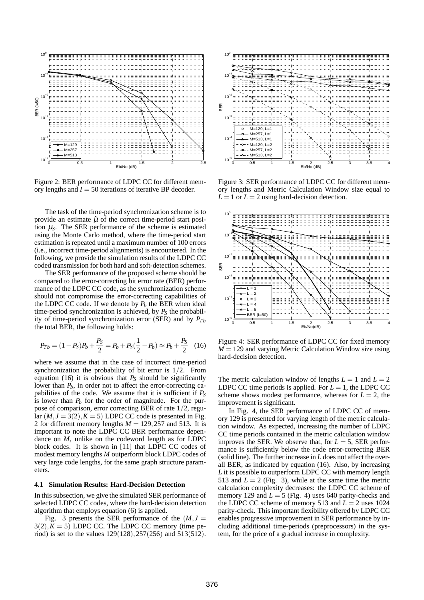

Figure 2: BER performance of LDPC CC for different memory lengths and  $I = 50$  iterations of iterative BP decoder.

The task of the time-period synchronization scheme is to provide an estimate  $\hat{\mu}$  of the correct time-period start position  $\mu_S$ . The SER performance of the scheme is estimated using the Monte Carlo method, where the time-period start estimation is repeated until a maximum number of 100 errors (i.e., incorrect time-period alignments) is encountered. In the following, we provide the simulation results of the LDPC CC coded transmission for both hard and soft-detection schemes.

The SER performance of the proposed scheme should be compared to the error-correcting bit error rate (BER) performance of the LDPC CC code, as the synchronization scheme should not compromise the error-correcting capabilities of the LDPC CC code. If we denote by  $P_b$  the BER when ideal time-period synchronization is achieved, by  $P<sub>S</sub>$  the probability of time-period synchronization error (SER) and by  $P_{Th}$ the total BER, the following holds:

$$
P_{Tb} = (1 - P_S)P_b + \frac{P_S}{2} = P_b + P_S(\frac{1}{2} - P_b) \approx P_b + \frac{P_S}{2}
$$
 (16)

where we assume that in the case of incorrect time-period synchronization the probability of bit error is 1/2. From equation (16) it is obvious that  $P<sub>S</sub>$  should be significantly lower than  $P_b$ , in order not to affect the error-correcting capabilities of the code. We assume that it is sufficient if *P<sup>S</sup>* is lower than  $P_b$  for the order of magnitude. For the purpose of comparison, error correcting BER of rate 1/2, regular  $(M, J = 3(2), K = 5)$  LDPC CC code is presented in Fig. 2 for different memory lengths  $M = 129,257$  and 513. It is important to note the LDPC CC BER performance dependance on *M*, unlike on the codeword length as for LDPC block codes. It is shown in [11] that LDPC CC codes of modest memory lengths *M* outperform block LDPC codes of very large code lengths, for the same graph structure parameters.

### **4.1 Simulation Results: Hard-Decision Detection**

In this subsection, we give the simulated SER performance of selected LDPC CC codes, where the hard-decision detection algorithm that employs equation (6) is applied.

Fig. 3 presents the SER performance of the  $(M, J =$  $3(2)$ ,  $\overline{K} = 5$ ) LDPC CC. The LDPC CC memory (time period) is set to the values 129(128),257(256) and 513(512).



Figure 3: SER performance of LDPC CC for different memory lengths and Metric Calculation Window size equal to  $L = 1$  or  $L = 2$  using hard-decision detection.



Figure 4: SER performance of LDPC CC for fixed memory  $M = 129$  and varying Metric Calculation Window size using hard-decision detection.

The metric calculation window of lengths  $L = 1$  and  $L = 2$ LDPC CC time periods is applied. For  $L = 1$ , the LDPC CC scheme shows modest performance, whereas for  $L = 2$ , the improvement is significant.

In Fig. 4, the SER performance of LDPC CC of memory 129 is presented for varying length of the metric calculation window. As expected, increasing the number of LDPC CC time periods contained in the metric calculation window improves the SER. We observe that, for  $L = 5$ , SER performance is sufficiently below the code error-correcting BER (solid line). The further increase in *L* does not affect the overall BER, as indicated by equation (16). Also, by increasing *L* it is possible to outperform LDPC CC with memory length 513 and  $L = 2$  (Fig. 3), while at the same time the metric calculation complexity decreases: the LDPC CC scheme of memory 129 and  $L = 5$  (Fig. 4) uses 640 parity-checks and the LDPC CC scheme of memory 513 and  $L = 2$  uses 1024 parity-check. This important flexibility offered by LDPC CC enables progressive improvement in SER performance by including additional time-periods (preprocessors) in the system, for the price of a gradual increase in complexity.